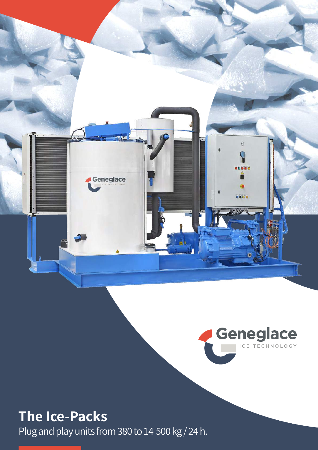



## **The Ice-Packs**

Plug and play units from 380 to 14 500 kg / 24 h.